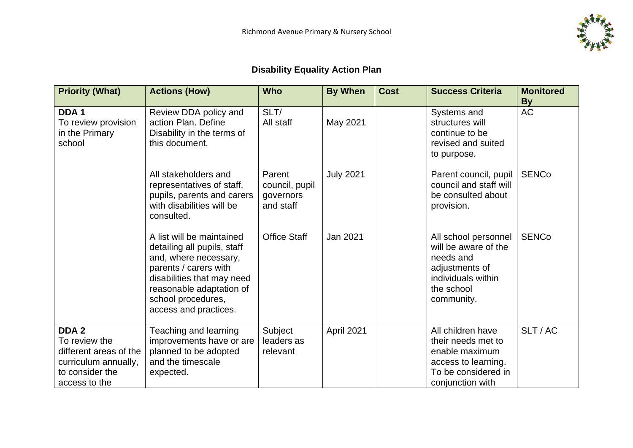

## **Disability Equality Action Plan**

| <b>Priority (What)</b>                                                                                                  | <b>Actions (How)</b>                                                                                                                                                                                                | <b>Who</b>                                         | <b>By When</b>   | <b>Cost</b> | <b>Success Criteria</b>                                                                                                       | <b>Monitored</b><br><b>By</b> |
|-------------------------------------------------------------------------------------------------------------------------|---------------------------------------------------------------------------------------------------------------------------------------------------------------------------------------------------------------------|----------------------------------------------------|------------------|-------------|-------------------------------------------------------------------------------------------------------------------------------|-------------------------------|
| DDA <sub>1</sub><br>To review provision<br>in the Primary<br>school                                                     | Review DDA policy and<br>action Plan. Define<br>Disability in the terms of<br>this document.                                                                                                                        | SLT/<br>All staff                                  | May 2021         |             | Systems and<br>structures will<br>continue to be<br>revised and suited<br>to purpose.                                         | <b>AC</b>                     |
|                                                                                                                         | All stakeholders and<br>representatives of staff,<br>pupils, parents and carers<br>with disabilities will be<br>consulted.                                                                                          | Parent<br>council, pupil<br>governors<br>and staff | <b>July 2021</b> |             | Parent council, pupil<br>council and staff will<br>be consulted about<br>provision.                                           | <b>SENCo</b>                  |
|                                                                                                                         | A list will be maintained<br>detailing all pupils, staff<br>and, where necessary,<br>parents / carers with<br>disabilities that may need<br>reasonable adaptation of<br>school procedures,<br>access and practices. | <b>Office Staff</b>                                | Jan 2021         |             | All school personnel<br>will be aware of the<br>needs and<br>adjustments of<br>individuals within<br>the school<br>community. | <b>SENCo</b>                  |
| DDA <sub>2</sub><br>To review the<br>different areas of the<br>curriculum annually,<br>to consider the<br>access to the | Teaching and learning<br>improvements have or are<br>planned to be adopted<br>and the timescale<br>expected.                                                                                                        | Subject<br>leaders as<br>relevant                  | April 2021       |             | All children have<br>their needs met to<br>enable maximum<br>access to learning.<br>To be considered in<br>conjunction with   | SLT/AC                        |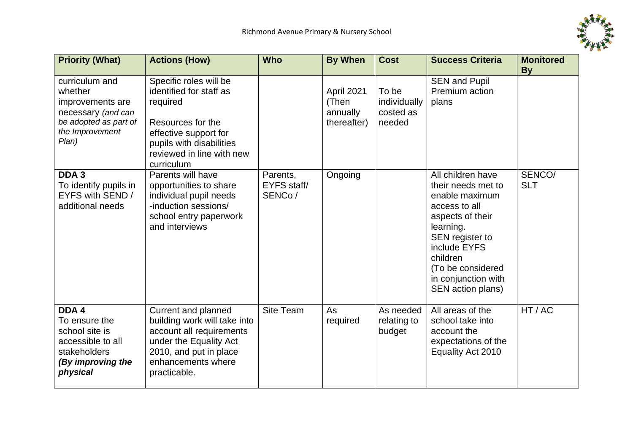

| <b>Priority (What)</b>                                                                                                                                                                                        | <b>Actions (How)</b>                                                                                                                                                                                                                                                                                                            | <b>Who</b>                               | <b>By When</b>                                            | <b>Cost</b>                                  | <b>Success Criteria</b>                                                                                                                                                                                                            | <b>Monitored</b>                  |
|---------------------------------------------------------------------------------------------------------------------------------------------------------------------------------------------------------------|---------------------------------------------------------------------------------------------------------------------------------------------------------------------------------------------------------------------------------------------------------------------------------------------------------------------------------|------------------------------------------|-----------------------------------------------------------|----------------------------------------------|------------------------------------------------------------------------------------------------------------------------------------------------------------------------------------------------------------------------------------|-----------------------------------|
| curriculum and<br>whether<br>improvements are<br>necessary (and can<br>be adopted as part of<br>the Improvement<br>Plan)<br>DDA <sub>3</sub><br>To identify pupils in<br>EYFS with SEND /<br>additional needs | Specific roles will be<br>identified for staff as<br>required<br>Resources for the<br>effective support for<br>pupils with disabilities<br>reviewed in line with new<br>curriculum<br>Parents will have<br>opportunities to share<br>individual pupil needs<br>-induction sessions/<br>school entry paperwork<br>and interviews | Parents,<br><b>EYFS</b> staff/<br>SENCo/ | April 2021<br>(Then<br>annually<br>thereafter)<br>Ongoing | To be<br>individually<br>costed as<br>needed | <b>SEN and Pupil</b><br>Premium action<br>plans<br>All children have<br>their needs met to<br>enable maximum<br>access to all<br>aspects of their<br>learning.<br>SEN register to<br>include EYFS<br>children<br>(To be considered | <b>By</b><br>SENCO/<br><b>SLT</b> |
| DDA 4<br>To ensure the<br>school site is<br>accessible to all<br>stakeholders<br>(By improving the<br>physical                                                                                                | <b>Current and planned</b><br>building work will take into<br>account all requirements<br>under the Equality Act<br>2010, and put in place<br>enhancements where<br>practicable.                                                                                                                                                | Site Team                                | As<br>required                                            | As needed<br>relating to<br>budget           | in conjunction with<br>SEN action plans)<br>All areas of the<br>school take into<br>account the<br>expectations of the<br>Equality Act 2010                                                                                        | HT/AC                             |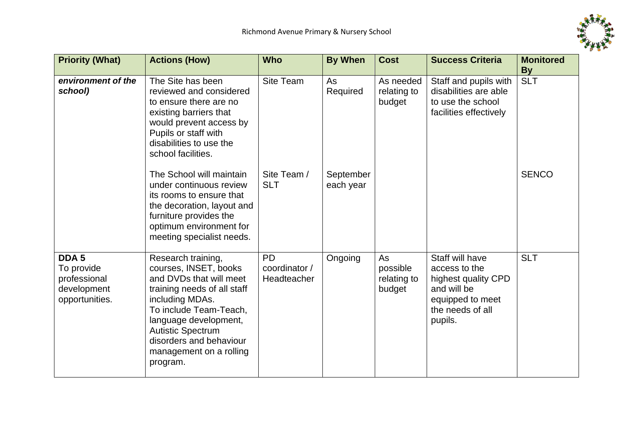

| <b>Priority (What)</b>                                                          | <b>Actions (How)</b>                                                                                                                                                                                                                                                      | <b>Who</b>                                | <b>By When</b>         | <b>Cost</b>                             | <b>Success Criteria</b>                                                                                                   | <b>Monitored</b>        |
|---------------------------------------------------------------------------------|---------------------------------------------------------------------------------------------------------------------------------------------------------------------------------------------------------------------------------------------------------------------------|-------------------------------------------|------------------------|-----------------------------------------|---------------------------------------------------------------------------------------------------------------------------|-------------------------|
| environment of the<br>school)                                                   | The Site has been<br>reviewed and considered<br>to ensure there are no<br>existing barriers that<br>would prevent access by<br>Pupils or staff with<br>disabilities to use the<br>school facilities.                                                                      | Site Team                                 | As<br>Required         | As needed<br>relating to<br>budget      | Staff and pupils with<br>disabilities are able<br>to use the school<br>facilities effectively                             | <b>By</b><br><b>SLT</b> |
|                                                                                 | The School will maintain<br>under continuous review<br>its rooms to ensure that<br>the decoration, layout and<br>furniture provides the<br>optimum environment for<br>meeting specialist needs.                                                                           | Site Team /<br><b>SLT</b>                 | September<br>each year |                                         |                                                                                                                           | <b>SENCO</b>            |
| DDA <sub>5</sub><br>To provide<br>professional<br>development<br>opportunities. | Research training,<br>courses, INSET, books<br>and DVDs that will meet<br>training needs of all staff<br>including MDAs.<br>To include Team-Teach,<br>language development,<br><b>Autistic Spectrum</b><br>disorders and behaviour<br>management on a rolling<br>program. | <b>PD</b><br>coordinator /<br>Headteacher | Ongoing                | As<br>possible<br>relating to<br>budget | Staff will have<br>access to the<br>highest quality CPD<br>and will be<br>equipped to meet<br>the needs of all<br>pupils. | <b>SLT</b>              |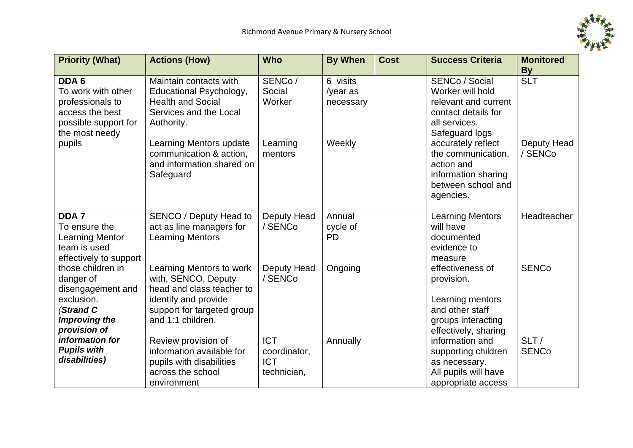

| <b>Priority (What)</b>                                                                                                 | <b>Actions (How)</b>                                                                                                                                                                                                  | <b>Who</b>                                              | <b>By When</b>                              | <b>Cost</b> | <b>Success Criteria</b>                                                                                                                                                                                                                  | <b>Monitored</b>                     |
|------------------------------------------------------------------------------------------------------------------------|-----------------------------------------------------------------------------------------------------------------------------------------------------------------------------------------------------------------------|---------------------------------------------------------|---------------------------------------------|-------------|------------------------------------------------------------------------------------------------------------------------------------------------------------------------------------------------------------------------------------------|--------------------------------------|
|                                                                                                                        |                                                                                                                                                                                                                       |                                                         |                                             |             |                                                                                                                                                                                                                                          | <b>By</b>                            |
| DDA 6<br>To work with other<br>professionals to<br>access the best<br>possible support for<br>the most needy<br>pupils | Maintain contacts with<br>Educational Psychology,<br><b>Health and Social</b><br>Services and the Local<br>Authority.<br>Learning Mentors update<br>communication & action,<br>and information shared on<br>Safeguard | SENCo/<br>Social<br>Worker<br>Learning<br>mentors       | 6 visits<br>/year as<br>necessary<br>Weekly |             | SENCo / Social<br>Worker will hold<br>relevant and current<br>contact details for<br>all services.<br>Safeguard logs<br>accurately reflect<br>the communication,<br>action and<br>information sharing<br>between school and<br>agencies. | <b>SLT</b><br>Deputy Head<br>/ SENCo |
| DDA <sub>7</sub><br>To ensure the<br><b>Learning Mentor</b><br>team is used<br>effectively to support                  | SENCO / Deputy Head to<br>act as line managers for<br><b>Learning Mentors</b>                                                                                                                                         | Deputy Head<br>/ SENCo                                  | Annual<br>cycle of<br><b>PD</b>             |             | <b>Learning Mentors</b><br>will have<br>documented<br>evidence to<br>measure                                                                                                                                                             | Headteacher                          |
| those children in<br>danger of<br>disengagement and<br>exclusion.<br>(Strand C<br>Improving the<br>provision of        | Learning Mentors to work<br>with, SENCO, Deputy<br>head and class teacher to<br>identify and provide<br>support for targeted group<br>and 1:1 children.                                                               | Deputy Head<br>/ SENCo                                  | Ongoing                                     |             | effectiveness of<br>provision.<br>Learning mentors<br>and other staff<br>groups interacting<br>effectively, sharing                                                                                                                      | <b>SENCo</b>                         |
| information for<br><b>Pupils with</b><br>disabilities)                                                                 | Review provision of<br>information available for<br>pupils with disabilities<br>across the school<br>environment                                                                                                      | <b>ICT</b><br>coordinator,<br><b>ICT</b><br>technician, | Annually                                    |             | information and<br>supporting children<br>as necessary.<br>All pupils will have<br>appropriate access                                                                                                                                    | SLT/<br><b>SENCo</b>                 |